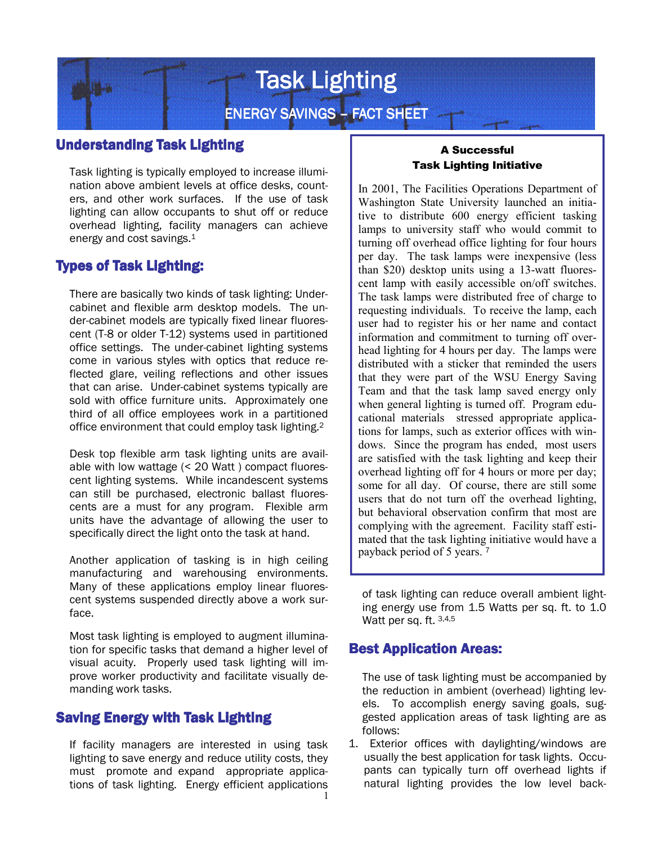

## **Understanding Task Lighting**

Task lighting is typically employed to increase illumination above ambient levels at office desks, counters, and other work surfaces. If the use of task lighting can allow occupants to shut off or reduce overhead lighting, facility managers can achieve energy and cost savings.<sup>1</sup>

## **Types of Task Lighting:**

There are basically two kinds of task lighting: Undercabinet and flexible arm desktop models. The under-cabinet models are typically fixed linear fluorescent (T-8 or older T-12) systems used in partitioned office settings. The under-cabinet lighting systems come in various styles with optics that reduce reflected glare, veiling reflections and other issues that can arise. Under-cabinet systems typically are sold with office furniture units. Approximately one third of all office employees work in a partitioned office environment that could employ task lighting.<sup>2</sup>

Desk top flexible arm task lighting units are available with low wattage (< 20 Watt ) compact fluorescent lighting systems. While incandescent systems can still be purchased, electronic ballast fluorescents are a must for any program. Flexible arm units have the advantage of allowing the user to specifically direct the light onto the task at hand.

Another application of tasking is in high ceiling manufacturing and warehousing environments. Many of these applications employ linear fluorescent systems suspended directly above a work surface.

Most task lighting is employed to augment illumination for specific tasks that demand a higher level of visual acuity. Properly used task lighting will improve worker productivity and facilitate visually demanding work tasks.

### **Saving Energy with Task Lighting**

1 If facility managers are interested in using task lighting to save energy and reduce utility costs, they must promote and expand appropriate applications of task lighting. Energy efficient applications

#### A Successful Task Lighting Initiative

In 2001, The Facilities Operations Department of Washington State University launched an initiative to distribute 600 energy efficient tasking lamps to university staff who would commit to turning off overhead office lighting for four hours per day. The task lamps were inexpensive (less than \$20) desktop units using a 13-watt fluorescent lamp with easily accessible on/off switches. The task lamps were distributed free of charge to requesting individuals. To receive the lamp, each user had to register his or her name and contact information and commitment to turning off overhead lighting for 4 hours per day. The lamps were distributed with a sticker that reminded the users that they were part of the WSU Energy Saving Team and that the task lamp saved energy only when general lighting is turned off. Program educational materials stressed appropriate applications for lamps, such as exterior offices with windows. Since the program has ended, most users are satisfied with the task lighting and keep their overhead lighting off for 4 hours or more per day; some for all day. Of course, there are still some users that do not turn off the overhead lighting, but behavioral observation confirm that most are complying with the agreement. Facility staff estimated that the task lighting initiative would have a payback period of 5 years. <sup>7</sup>

of task lighting can reduce overall ambient lighting energy use from 1.5 Watts per sq. ft. to 1.0 Watt per sq. ft. 3,4,5

### **Best Application Areas:**

The use of task lighting must be accompanied by the reduction in ambient (overhead) lighting levels. To accomplish energy saving goals, suggested application areas of task lighting are as follows:

1. Exterior offices with daylighting/windows are usually the best application for task lights. Occupants can typically turn off overhead lights if natural lighting provides the low level back-